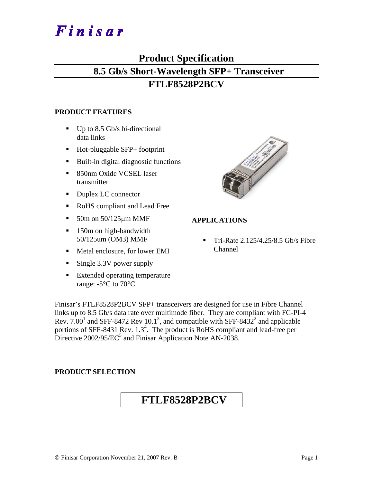# Finisar

## **Product Specification 8.5 Gb/s Short-Wavelength SFP+ Transceiver**

### **FTLF8528P2BCV**

#### **PRODUCT FEATURES**

- $\blacksquare$  Up to 8.5 Gb/s bi-directional data links
- Hot-pluggable SFP+ footprint
- Built-in digital diagnostic functions
- 850nm Oxide VCSEL laser transmitter
- Duplex LC connector
- RoHS compliant and Lead Free
- $\blacksquare$  50m on 50/125  $\mu$ m MMF
- 150m on high-bandwidth 50/125um (OM3) MMF
- Metal enclosure, for lower EMI
- Single 3.3V power supply
- **Extended operating temperature** range: -5°C to 70°C



#### **APPLICATIONS**

 Tri-Rate 2.125/4.25/8.5 Gb/s Fibre Channel

Finisar's FTLF8528P2BCV SFP+ transceivers are designed for use in Fibre Channel links up to 8.5 Gb/s data rate over multimode fiber. They are compliant with FC-PI-4 Rev. 7.00<sup>1</sup> and SFF-8472 Rev 10.1<sup>3</sup>, and compatible with SFF-8432<sup>2</sup> and applicable portions of SFF-8431 Rev.  $1.3<sup>4</sup>$ . The product is RoHS compliant and lead-free per Directive  $2002/95/EC^5$  and Finisar Application Note AN-2038.

#### **PRODUCT SELECTION**

## **FTLF8528P2BCV**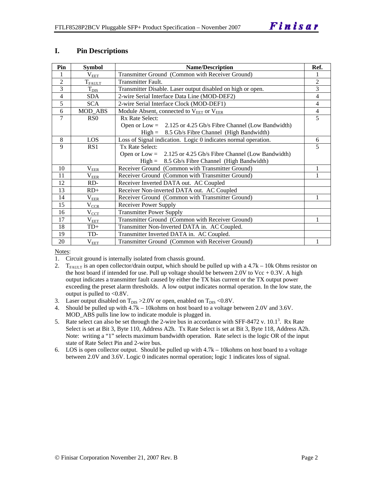#### **I. Pin Descriptions**

| Pin            | <b>Symbol</b>         | <b>Name/Description</b>                                          | Ref.           |
|----------------|-----------------------|------------------------------------------------------------------|----------------|
| 1              | $\rm V_{\rm EET}$     | Transmitter Ground (Common with Receiver Ground)                 |                |
| $\overline{2}$ | $T_{\rm FALLT}$       | Transmitter Fault.                                               | $\overline{2}$ |
| 3              | $\mathrm{T_{DIS}}$    | Transmitter Disable. Laser output disabled on high or open.      | $\overline{3}$ |
| $\overline{4}$ | <b>SDA</b>            | 2-wire Serial Interface Data Line (MOD-DEF2)                     | 4              |
| 5              | <b>SCA</b>            | 2-wire Serial Interface Clock (MOD-DEF1)                         | $\overline{4}$ |
| 6              | <b>MOD_ABS</b>        | Module Absent, connected to V <sub>EET</sub> or V <sub>EER</sub> | $\overline{4}$ |
| 7              | R <sub>S</sub> O      | Rx Rate Select:                                                  | 5              |
|                |                       | Open or Low = $2.125$ or 4.25 Gb/s Fibre Channel (Low Bandwidth) |                |
|                |                       | $High = 8.5 \text{Gb/s}$ Fibre Channel (High Bandwidth)          |                |
| 8              | LOS                   | Loss of Signal indication. Logic 0 indicates normal operation.   | 6              |
| 9              | RS1                   | Tx Rate Select:                                                  | 5              |
|                |                       | Open or Low = $2.125$ or 4.25 Gb/s Fibre Channel (Low Bandwidth) |                |
|                |                       | $High = 8.5 \text{Gb/s}$ Fibre Channel (High Bandwidth)          |                |
| 10             | $\rm V_{EER}$         | Receiver Ground (Common with Transmitter Ground)                 |                |
| 11             | $\rm V_{EER}$         | Receiver Ground (Common with Transmitter Ground)                 |                |
| 12             | RD-                   | Receiver Inverted DATA out. AC Coupled                           |                |
| 13             | $RD+$                 | Receiver Non-inverted DATA out. AC Coupled                       |                |
| 14             | $\rm V_{\rm EER}$     | Receiver Ground (Common with Transmitter Ground)                 |                |
| 15             | $V_{\underline{CCR}}$ | <b>Receiver Power Supply</b>                                     |                |
| 16             | $V_{CCT}$             | <b>Transmitter Power Supply</b>                                  |                |
| 17             | $\rm V_{\rm EET}$     | Transmitter Ground (Common with Receiver Ground)                 |                |
| 18             | $TD+$                 | Transmitter Non-Inverted DATA in. AC Coupled.                    |                |
| 19             | TD-                   | Transmitter Inverted DATA in. AC Coupled.                        |                |
| 20             | $\rm V_{EET}$         | Transmitter Ground (Common with Receiver Ground)                 |                |

Notes:

1. Circuit ground is internally isolated from chassis ground.

- 2.  $T_{FATU T}$  is an open collector/drain output, which should be pulled up with a 4.7k 10k Ohms resistor on the host board if intended for use. Pull up voltage should be between 2.0V to Vcc  $+ 0.3V$ . A high output indicates a transmitter fault caused by either the TX bias current or the TX output power exceeding the preset alarm thresholds. A low output indicates normal operation. In the low state, the output is pulled to <0.8V.
- 3. Laser output disabled on  $T_{DIS} > 2.0V$  or open, enabled on  $T_{DIS} < 0.8V$ .
- 4. Should be pulled up with 4.7k 10kohms on host board to a voltage between 2.0V and 3.6V. MOD\_ABS pulls line low to indicate module is plugged in.
- 5. Rate select can also be set through the 2-wire bus in accordance with SFF-8472 v.  $10.1<sup>3</sup>$ . Rx Rate Select is set at Bit 3, Byte 110, Address A2h. Tx Rate Select is set at Bit 3, Byte 118, Address A2h. Note: writing a "1" selects maximum bandwidth operation. Rate select is the logic OR of the input state of Rate Select Pin and 2-wire bus.
- 6. LOS is open collector output. Should be pulled up with 4.7k 10kohms on host board to a voltage between 2.0V and 3.6V. Logic 0 indicates normal operation; logic 1 indicates loss of signal.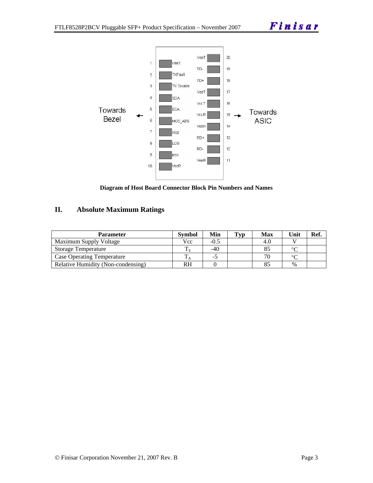

**Diagram of Host Board Connector Block Pin Numbers and Names** 

#### **II. Absolute Maximum Ratings**

| <b>Parameter</b>                   | <b>Symbol</b> | Min    | $\mathbf{T}_{\mathbf{V}\mathbf{D}}$ | <b>Max</b> | Unit   | Ref. |
|------------------------------------|---------------|--------|-------------------------------------|------------|--------|------|
| Maximum Supply Voltage             | Vcc           | $-0.5$ |                                     | 4.0        |        |      |
| Storage Temperature                |               | $-40$  |                                     |            | ∘∩     |      |
| <b>Case Operating Temperature</b>  |               | -0     |                                     | 70         | $\sim$ |      |
| Relative Humidity (Non-condensing) | <b>RH</b>     |        |                                     |            | $\%$   |      |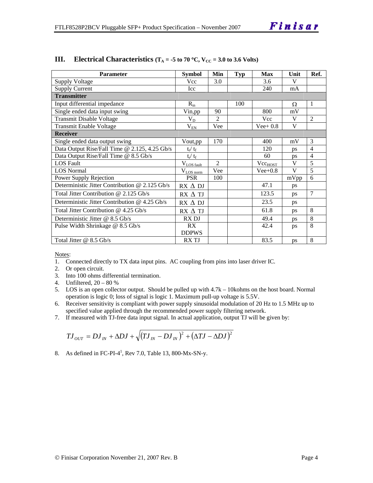| <b>Parameter</b>                                | <b>Symbol</b>            | Min            | Typ | <b>Max</b>          | Unit      | Ref.           |
|-------------------------------------------------|--------------------------|----------------|-----|---------------------|-----------|----------------|
| <b>Supply Voltage</b>                           | Vcc                      | 3.0            |     | 3.6                 | V         |                |
| <b>Supply Current</b>                           | Icc                      |                |     | 240                 | mA        |                |
| <b>Transmitter</b>                              |                          |                |     |                     |           |                |
| Input differential impedance                    | $R_{in}$                 |                | 100 |                     | Ω         | 1              |
| Single ended data input swing                   | Vin,pp                   | 90             |     | 800                 | mV        |                |
| <b>Transmit Disable Voltage</b>                 | $\rm V_{D}$              | $\overline{2}$ |     | Vcc                 | V         | $\overline{2}$ |
| Transmit Enable Voltage                         | $\rm V_{\underline{E}N}$ | Vee            |     | $Vee+0.8$           | V         |                |
| <b>Receiver</b>                                 |                          |                |     |                     |           |                |
| Single ended data output swing                  | Vout,pp                  | 170            |     | 400                 | mV        | 3              |
| Data Output Rise/Fall Time @ 2.125, 4.25 Gb/s   | $t_r / t_f$              |                |     | 120                 | ps        | 4              |
| Data Output Rise/Fall Time @ 8.5 Gb/s           | $t_r / t_f$              |                |     | 60                  | ps        | 4              |
| <b>LOS Fault</b>                                | $V_{LOS fault}$          | $\mathfrak{D}$ |     | Vec <sub>HOST</sub> | V         | 5              |
| <b>LOS Normal</b>                               | $V_{LOS\,norm}$          | Vee            |     | $Vee+0.8$           | V         | $\overline{5}$ |
| Power Supply Rejection                          | <b>PSR</b>               | 100            |     |                     | mVpp      | 6              |
| Deterministic Jitter Contribution @ 2.125 Gb/s  | $RX \Delta DI$           |                |     | 47.1                | ps        |                |
| Total Jitter Contribution $@$ 2.125 Gb/s        | $RX \Delta TI$           |                |     | 123.5               | ps        | $\overline{7}$ |
| Deterministic Jitter Contribution $@$ 4.25 Gb/s | RX ∆ DJ                  |                |     | 23.5                | ps        |                |
| Total Jitter Contribution $@$ 4.25 Gb/s         | RX A TJ                  |                |     | 61.8                | ps        | 8              |
| Deterministic Jitter @ 8.5 Gb/s                 | RX DJ                    |                |     | 49.4                | <b>ps</b> | 8              |
| Pulse Width Shrinkage @ 8.5 Gb/s                | RX                       |                |     | 42.4                | ps        | 8              |
|                                                 | <b>DDPWS</b>             |                |     |                     |           |                |
| Total Jitter $@ 8.5 \text{Gb/s}$                | RX TJ                    |                |     | 83.5                | ps        | 8              |

#### **III. Electrical Characteristics** ( $T_A = -5$  to 70 °C,  $V_{CC} = 3.0$  to 3.6 Volts)

Notes:

- 1. Connected directly to TX data input pins. AC coupling from pins into laser driver IC.
- 2. Or open circuit.
- 3. Into 100 ohms differential termination.
- 4. Unfiltered, 20 80 %
- 5. LOS is an open collector output. Should be pulled up with 4.7k 10kohms on the host board. Normal operation is logic 0; loss of signal is logic 1. Maximum pull-up voltage is 5.5V.
- 6. Receiver sensitivity is compliant with power supply sinusoidal modulation of 20 Hz to 1.5 MHz up to specified value applied through the recommended power supply filtering network.
- 7. If measured with TJ-free data input signal. In actual application, output TJ will be given by:

$$
T J_{OUT} = D J_{IN} + \Delta D J + \sqrt{(T J_{IN} - D J_{IN})^2 + (\Delta T J - \Delta D J)^2}
$$

8. As defined in FC-PI- $4^1$ , Rev 7.0, Table 13, 800-Mx-SN-y.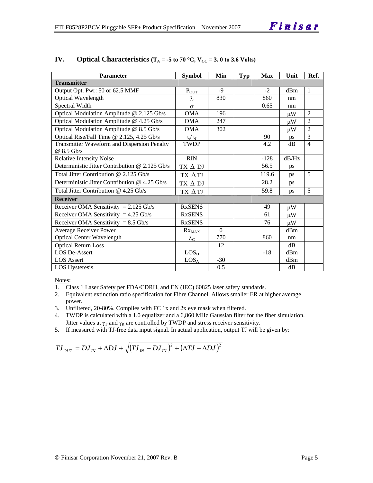| <b>Parameter</b>                               | <b>Symbol</b>             | Min      | <b>Typ</b> | <b>Max</b> | Unit    | Ref.           |
|------------------------------------------------|---------------------------|----------|------------|------------|---------|----------------|
| <b>Transmitter</b>                             |                           |          |            |            |         |                |
| Output Opt. Pwr: 50 or 62.5 MMF                | $P_{OUT}$                 | $-9$     |            | $-2$       | dBm     | $\mathbf{1}$   |
| <b>Optical Wavelength</b>                      | λ                         | 830      |            | 860        | nm      |                |
| Spectral Width                                 | $\sigma$                  |          |            | 0.65       | nm      |                |
| Optical Modulation Amplitude @ 2.125 Gb/s      | <b>OMA</b>                | 196      |            |            | $\mu$ W | $\mathfrak{D}$ |
| Optical Modulation Amplitude @ 4.25 Gb/s       | <b>OMA</b>                | 247      |            |            | $\mu W$ | $\overline{2}$ |
| Optical Modulation Amplitude @ 8.5 Gb/s        | <b>OMA</b>                | 302      |            |            | $\mu$ W | $\overline{2}$ |
| Optical Rise/Fall Time @ 2.125, 4.25 Gb/s      | $t_r/ t_f$                |          |            | 90         | ps      | 3              |
| Transmitter Waveform and Dispersion Penalty    | <b>TWDP</b>               |          |            | 4.2        | dB      | $\overline{4}$ |
| @ 8.5 Gb/s                                     |                           |          |            |            |         |                |
| <b>Relative Intensity Noise</b>                | <b>RIN</b>                |          |            | $-128$     | dB/Hz   |                |
| Deterministic Jitter Contribution @ 2.125 Gb/s | $TX \Delta DI$            |          |            | 56.5       | ps      |                |
| Total Jitter Contribution @ 2.125 Gb/s         | TX ATJ                    |          |            | 119.6      | ps      | 5              |
| Deterministic Jitter Contribution @ 4.25 Gb/s  | TX $\Delta$ DJ            |          |            | 28.2       | ps      |                |
| Total Jitter Contribution @ 4.25 Gb/s          | TX ATJ                    |          |            | 59.8       | ps      | 5              |
| <b>Receiver</b>                                |                           |          |            |            |         |                |
| Receiver OMA Sensitivity = $2.125$ Gb/s        | <b>RxSENS</b>             |          |            | 49         | $\mu$ W |                |
| Receiver OMA Sensitivity = $4.25$ Gb/s         | <b>RxSENS</b>             |          |            | 61         | иW      |                |
| Receiver OMA Sensitivity = $8.5$ Gb/s          | <b>RxSENS</b>             |          |            | 76         | $\mu$ W |                |
| <b>Average Receiver Power</b>                  | $Rx_{MAX}$                | $\Omega$ |            |            | dBm     |                |
| <b>Optical Center Wavelength</b>               | $\lambda_{\underline{C}}$ | 770      |            | 860        | nm      |                |
| <b>Optical Return Loss</b>                     |                           | 12       |            |            | dB      |                |
| <b>LOS De-Assert</b>                           | LOS <sub>D</sub>          |          |            | $-18$      | dBm     |                |
| <b>LOS</b> Assert                              | LOS <sub>A</sub>          | $-30$    |            |            | dBm     |                |
| <b>LOS Hysteresis</b>                          |                           | 0.5      |            |            | dB      |                |

#### **IV.** Optical Characteristics ( $T_A = -5$  to 70 °C,  $V_{CC} = 3.0$  to 3.6 Volts)

Notes:

1. Class 1 Laser Safety per FDA/CDRH, and EN (IEC) 60825 laser safety standards.

- 2. Equivalent extinction ratio specification for Fibre Channel. Allows smaller ER at higher average power.
- 3. Unfiltered, 20-80%. Complies with FC 1x and 2x eye mask when filtered.
- 4. TWDP is calculated with a 1.0 equalizer and a 6,860 MHz Gaussian filter for the fiber simulation. Jitter values at  $\gamma_T$  and  $\gamma_R$  are controlled by TWDP and stress receiver sensitivity.
- 5. If measured with TJ-free data input signal. In actual application, output TJ will be given by:

$$
T J_{OUT} = D J_{IN} + \Delta D J + \sqrt{(T J_{IN} - D J_{IN})^{2} + (\Delta T J - \Delta D J)^{2}}
$$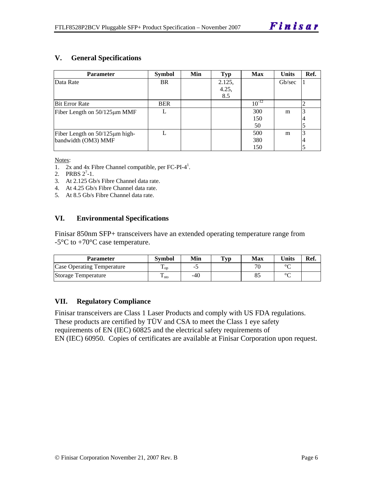#### **V. General Specifications**

| Parameter                          | <b>Symbol</b> | Min | <b>Typ</b> | <b>Max</b> | <b>Units</b> | Ref. |
|------------------------------------|---------------|-----|------------|------------|--------------|------|
| Data Rate                          | <b>BR</b>     |     | 2.125,     |            | Gb/sec       |      |
|                                    |               |     | 4.25,      |            |              |      |
|                                    |               |     | 8.5        |            |              |      |
| <b>Bit Error Rate</b>              | <b>BER</b>    |     |            | $10^{-12}$ |              |      |
| Fiber Length on $50/125 \mu m$ MMF |               |     |            | 300        | m            |      |
|                                    |               |     |            | 150        |              |      |
|                                    |               |     |            | 50         |              |      |
| Fiber Length on 50/125µm high-     |               |     |            | 500        | m            |      |
| bandwidth (OM3) MMF                |               |     |            | 380        |              | 4    |
|                                    |               |     |            | 150        |              |      |

Notes:

- 1.  $2x$  and  $4x$  Fibre Channel compatible, per FC-PI-4<sup>1</sup>.
- 2. PRBS  $2^7-1$ .
- 3. At 2.125 Gb/s Fibre Channel data rate.
- 4. At 4.25 Gb/s Fibre Channel data rate.
- 5. At 8.5 Gb/s Fibre Channel data rate.

#### **VI. Environmental Specifications**

Finisar 850nm SFP+ transceivers have an extended operating temperature range from  $-5^{\circ}$ C to  $+70^{\circ}$ C case temperature.

| Parameter                         | <b>Symbol</b>          | Min | $\mathbf{T}_{\mathbf{V}\mathbf{p}}$ | Max                      | Units  | Ref. |
|-----------------------------------|------------------------|-----|-------------------------------------|--------------------------|--------|------|
| <b>Case Operating Temperature</b> | $\mathbf{L}_{OD}$      | -   |                                     | $\overline{\phantom{a}}$ | $\sim$ |      |
| Storage Temperature               | m<br>$\frac{1}{1}$ sto | -40 |                                     |                          | $\sim$ |      |

#### **VII. Regulatory Compliance**

Finisar transceivers are Class 1 Laser Products and comply with US FDA regulations. These products are certified by TÜV and CSA to meet the Class 1 eye safety requirements of EN (IEC) 60825 and the electrical safety requirements of EN (IEC) 60950. Copies of certificates are available at Finisar Corporation upon request.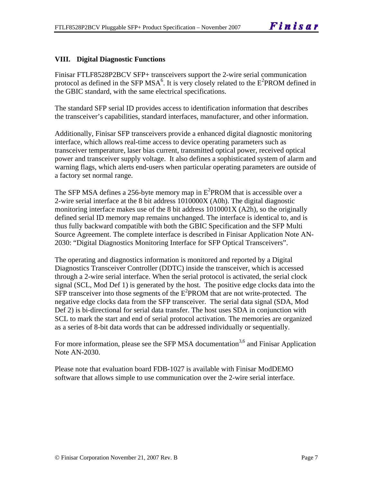#### **VIII. Digital Diagnostic Functions**

Finisar FTLF8528P2BCV SFP+ transceivers support the 2-wire serial communication protocol as defined in the SFP MSA<sup>6</sup>. It is very closely related to the  $E^2$ PROM defined in the GBIC standard, with the same electrical specifications.

The standard SFP serial ID provides access to identification information that describes the transceiver's capabilities, standard interfaces, manufacturer, and other information.

Additionally, Finisar SFP transceivers provide a enhanced digital diagnostic monitoring interface, which allows real-time access to device operating parameters such as transceiver temperature, laser bias current, transmitted optical power, received optical power and transceiver supply voltage. It also defines a sophisticated system of alarm and warning flags, which alerts end-users when particular operating parameters are outside of a factory set normal range.

The SFP MSA defines a 256-byte memory map in  $E^2$ PROM that is accessible over a 2-wire serial interface at the 8 bit address 1010000X (A0h). The digital diagnostic monitoring interface makes use of the 8 bit address 1010001X (A2h), so the originally defined serial ID memory map remains unchanged. The interface is identical to, and is thus fully backward compatible with both the GBIC Specification and the SFP Multi Source Agreement. The complete interface is described in Finisar Application Note AN-2030: "Digital Diagnostics Monitoring Interface for SFP Optical Transceivers".

The operating and diagnostics information is monitored and reported by a Digital Diagnostics Transceiver Controller (DDTC) inside the transceiver, which is accessed through a 2-wire serial interface. When the serial protocol is activated, the serial clock signal (SCL, Mod Def 1) is generated by the host. The positive edge clocks data into the  $SFP$  transceiver into those segments of the  $E^2$ PROM that are not write-protected. The negative edge clocks data from the SFP transceiver. The serial data signal (SDA, Mod Def 2) is bi-directional for serial data transfer. The host uses SDA in conjunction with SCL to mark the start and end of serial protocol activation. The memories are organized as a series of 8-bit data words that can be addressed individually or sequentially.

For more information, please see the SFP MSA documentation<sup>3,6</sup> and Finisar Application Note AN-2030.

Please note that evaluation board FDB-1027 is available with Finisar ModDEMO software that allows simple to use communication over the 2-wire serial interface.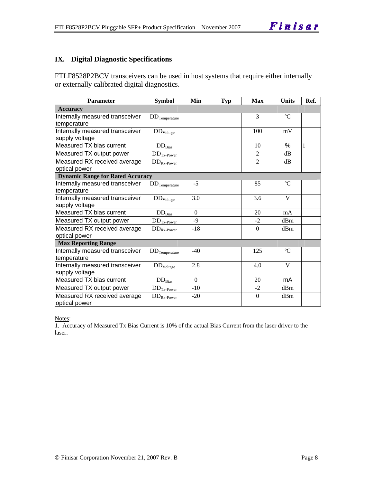#### **IX. Digital Diagnostic Specifications**

FTLF8528P2BCV transceivers can be used in host systems that require either internally or externally calibrated digital diagnostics.

| Parameter                                         | <b>Symbol</b>          | Min      | <b>Typ</b> | <b>Max</b>     | <b>Units</b> | Ref. |
|---------------------------------------------------|------------------------|----------|------------|----------------|--------------|------|
| <b>Accuracy</b>                                   |                        |          |            |                |              |      |
| Internally measured transceiver<br>temperature    | $DD$ Temperature       |          |            | 3              | $\rm ^{o}C$  |      |
| Internally measured transceiver<br>supply voltage | DD <sub>Voltage</sub>  |          |            | 100            | mV           |      |
| Measured TX bias current                          | $DD_{Bias}$            |          |            | 10             | $\%$         | 1    |
| Measured TX output power                          | $DDTx-Power$           |          |            | $\overline{2}$ | dB           |      |
| Measured RX received average<br>optical power     | $DD_{Rx\text{-}Power}$ |          |            | $\overline{2}$ | dB           |      |
| <b>Dynamic Range for Rated Accuracy</b>           |                        |          |            |                |              |      |
| Internally measured transceiver<br>temperature    | $DD_{Temperature}$     | $-5$     |            | 85             | $\rm ^{o}C$  |      |
| Internally measured transceiver<br>supply voltage | $DD_{Voltage}$         | 3.0      |            | 3.6            | V            |      |
| Measured TX bias current                          | $DD_{Bias}$            | $\Omega$ |            | 20             | mA           |      |
| Measured TX output power                          | $DD_{Tx\text{-Power}}$ | $-9$     |            | $-2$           | dBm          |      |
| Measured RX received average<br>optical power     | $DD_{Rx\text{-}Power}$ | $-18$    |            | $\mathbf{0}$   | dBm          |      |
| <b>Max Reporting Range</b>                        |                        |          |            |                |              |      |
| Internally measured transceiver<br>temperature    | $DD$ Temperature       | $-40$    |            | 125            | $\rm ^{o}C$  |      |
| Internally measured transceiver<br>supply voltage | DD <sub>Voltage</sub>  | 2.8      |            | 4.0            | V            |      |
| Measured TX bias current                          | $DD_{\rm Bias}$        | $\Omega$ |            | 20             | mA           |      |
| Measured TX output power                          | $DD_{Tx\text{-Power}}$ | $-10$    |            | $-2$           | dBm          |      |
| Measured RX received average<br>optical power     | $DD_{Rx\text{-}Power}$ | $-20$    |            | $\Omega$       | dBm          |      |

Notes:

1. Accuracy of Measured Tx Bias Current is 10% of the actual Bias Current from the laser driver to the laser.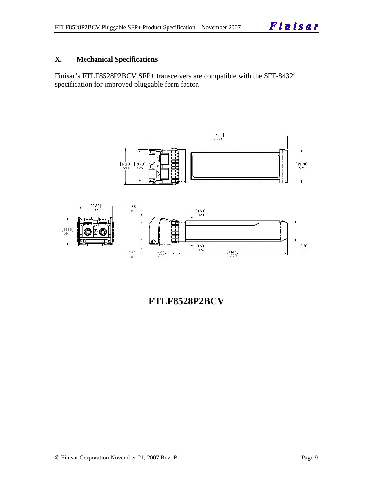#### **X. Mechanical Specifications**

Finisar's FTLF8528P2BCV SFP+ transceivers are compatible with the SFF-8432<sup>2</sup> specification for improved pluggable form factor.





**FTLF8528P2BCV**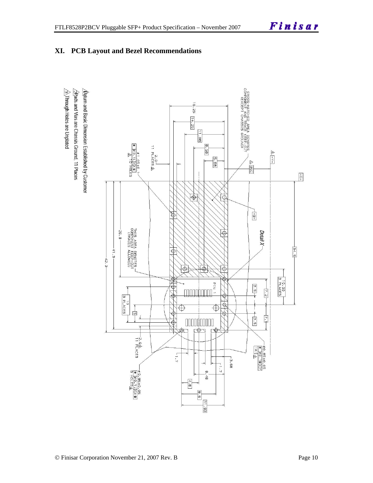





 $\sqrt{2}$ Rads and Vias are Chassis Ground, 11 Places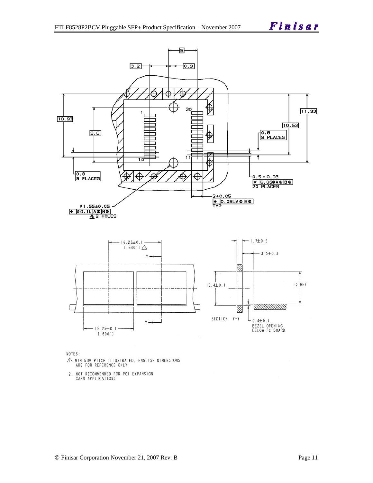

NOTES:

- $\triangle$  MINIMUM PITCH ILLUSTRATED, ENGLISH DIMENSIONS ARE FOR REFERENCE ONLY
- 2. NOT RECOMMENDED FOR PCI EXPANSION<br>CARD APPLICATIONS